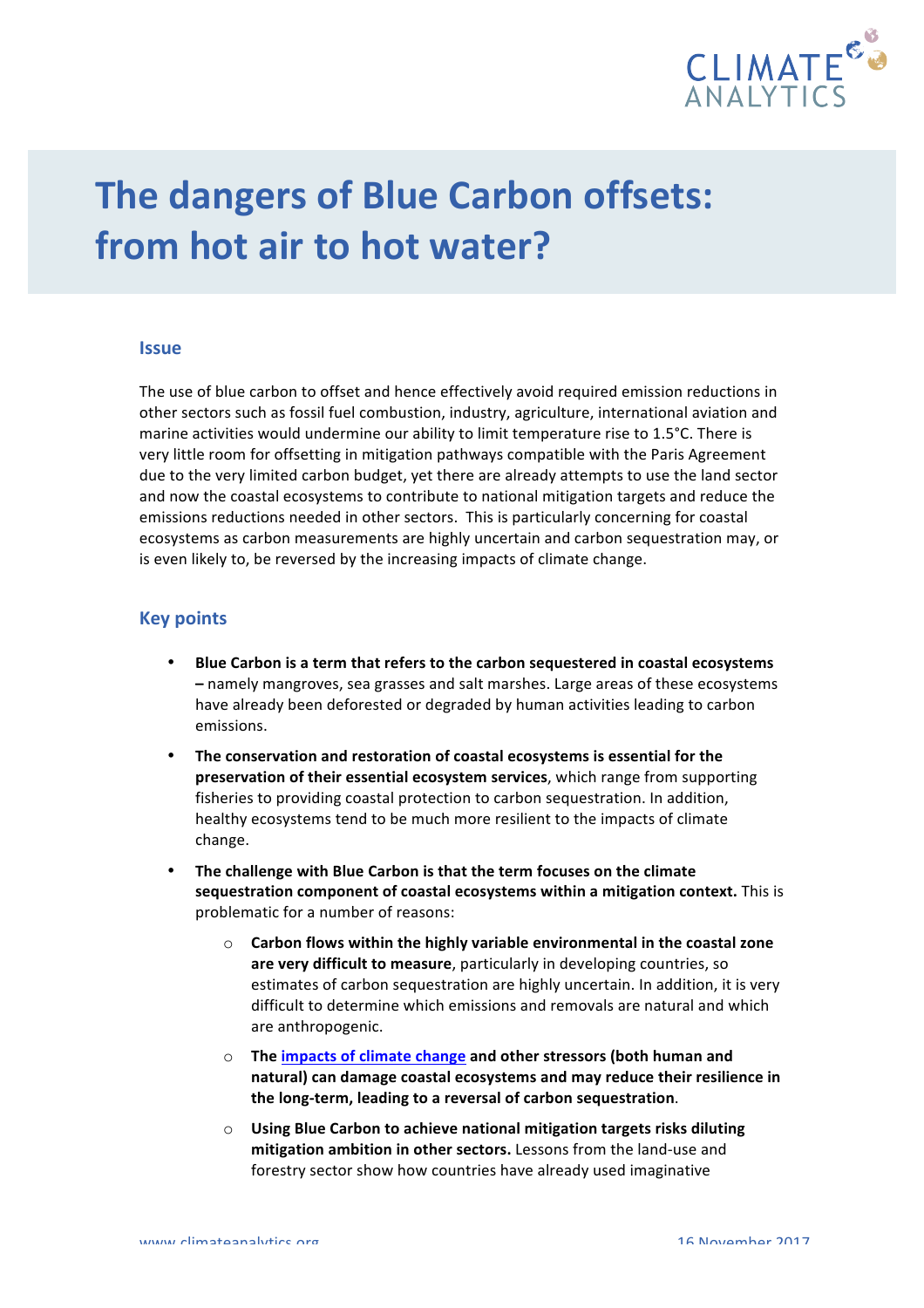

# **The dangers of Blue Carbon offsets: from hot air to hot water?**

#### **Issue**

The use of blue carbon to offset and hence effectively avoid required emission reductions in other sectors such as fossil fuel combustion, industry, agriculture, international aviation and marine activities would undermine our ability to limit temperature rise to 1.5°C. There is very little room for offsetting in mitigation pathways compatible with the Paris Agreement due to the very limited carbon budget, yet there are already attempts to use the land sector and now the coastal ecosystems to contribute to national mitigation targets and reduce the emissions reductions needed in other sectors. This is particularly concerning for coastal ecosystems as carbon measurements are highly uncertain and carbon sequestration may, or is even likely to, be reversed by the increasing impacts of climate change.

#### **Key points**

- Blue Carbon is a term that refers to the carbon sequestered in coastal ecosystems **–** namely mangroves, sea grasses and salt marshes. Large areas of these ecosystems have already been deforested or degraded by human activities leading to carbon emissions.
- The conservation and restoration of coastal ecosystems is essential for the preservation of their essential ecosystem services, which range from supporting fisheries to providing coastal protection to carbon sequestration. In addition, healthy ecosystems tend to be much more resilient to the impacts of climate change.
- The challenge with Blue Carbon is that the term focuses on the climate sequestration component of coastal ecosystems within a mitigation context. This is problematic for a number of reasons:
	- $\circ$  **Carbon flows within the highly variable environmental in the coastal zone are very difficult to measure**, particularly in developing countries, so estimates of carbon sequestration are highly uncertain. In addition, it is very difficult to determine which emissions and removals are natural and which are anthropogenic.
	- o The impacts of climate change and other stressors (both human and natural) can damage coastal ecosystems and may reduce their resilience in the long-term, leading to a reversal of carbon sequestration.
	- $\circ$  Using Blue Carbon to achieve national mitigation targets risks diluting **mitigation ambition in other sectors.** Lessons from the land-use and forestry sector show how countries have already used imaginative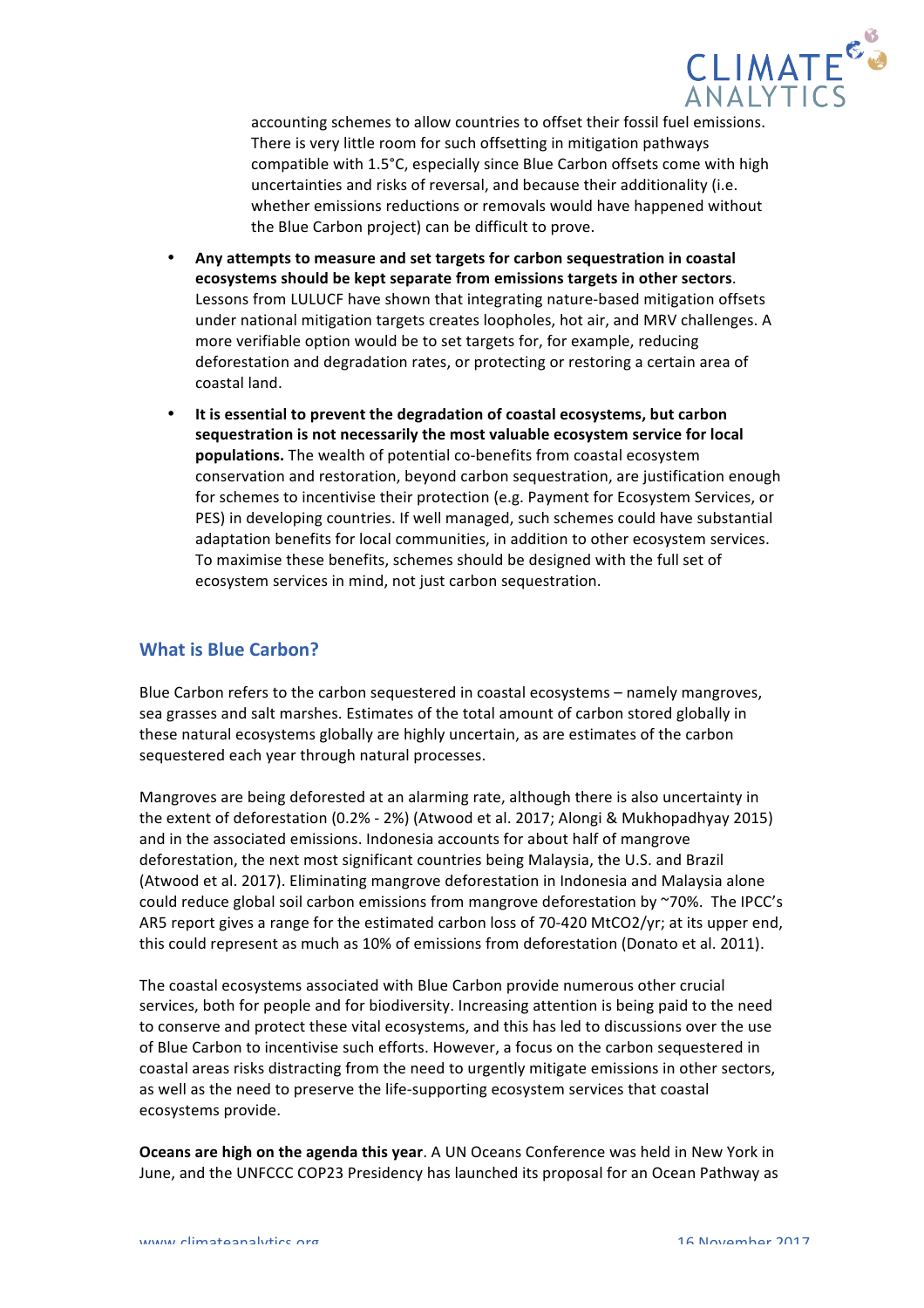

accounting schemes to allow countries to offset their fossil fuel emissions. There is very little room for such offsetting in mitigation pathways compatible with 1.5°C, especially since Blue Carbon offsets come with high uncertainties and risks of reversal, and because their additionality (i.e. whether emissions reductions or removals would have happened without the Blue Carbon project) can be difficult to prove.

- Any attempts to measure and set targets for carbon sequestration in coastal ecosystems should be kept separate from emissions targets in other sectors. Lessons from LULUCF have shown that integrating nature-based mitigation offsets under national mitigation targets creates loopholes, hot air, and MRV challenges. A more verifiable option would be to set targets for, for example, reducing deforestation and degradation rates, or protecting or restoring a certain area of coastal land.
- It is essential to prevent the degradation of coastal ecosystems, but carbon sequestration is not necessarily the most valuable ecosystem service for local **populations.** The wealth of potential co-benefits from coastal ecosystem conservation and restoration, beyond carbon sequestration, are justification enough for schemes to incentivise their protection (e.g. Payment for Ecosystem Services, or PES) in developing countries. If well managed, such schemes could have substantial adaptation benefits for local communities, in addition to other ecosystem services. To maximise these benefits, schemes should be designed with the full set of ecosystem services in mind, not just carbon sequestration.

## **What is Blue Carbon?**

Blue Carbon refers to the carbon sequestered in coastal ecosystems - namely mangroves, sea grasses and salt marshes. Estimates of the total amount of carbon stored globally in these natural ecosystems globally are highly uncertain, as are estimates of the carbon sequestered each year through natural processes.

Mangroves are being deforested at an alarming rate, although there is also uncertainty in the extent of deforestation (0.2% - 2%) (Atwood et al. 2017; Alongi & Mukhopadhyay 2015) and in the associated emissions. Indonesia accounts for about half of mangrove deforestation, the next most significant countries being Malaysia, the U.S. and Brazil (Atwood et al. 2017). Eliminating mangrove deforestation in Indonesia and Malaysia alone could reduce global soil carbon emissions from mangrove deforestation by ~70%. The IPCC's AR5 report gives a range for the estimated carbon loss of 70-420 MtCO2/yr; at its upper end, this could represent as much as 10% of emissions from deforestation (Donato et al. 2011).

The coastal ecosystems associated with Blue Carbon provide numerous other crucial services, both for people and for biodiversity. Increasing attention is being paid to the need to conserve and protect these vital ecosystems, and this has led to discussions over the use of Blue Carbon to incentivise such efforts. However, a focus on the carbon sequestered in coastal areas risks distracting from the need to urgently mitigate emissions in other sectors, as well as the need to preserve the life-supporting ecosystem services that coastal ecosystems provide.

**Oceans are high on the agenda this year**. A UN Oceans Conference was held in New York in June, and the UNFCCC COP23 Presidency has launched its proposal for an Ocean Pathway as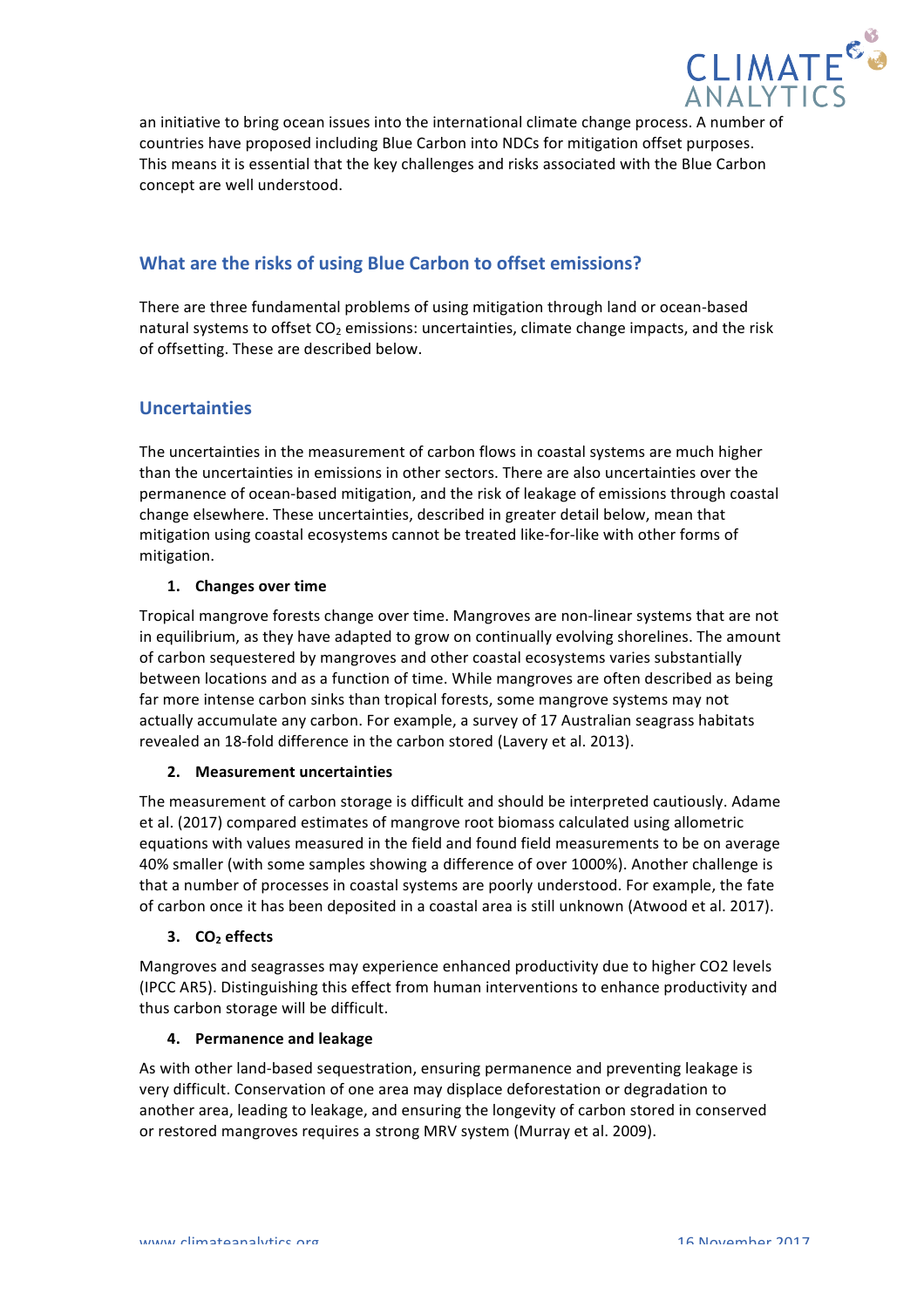

an initiative to bring ocean issues into the international climate change process. A number of countries have proposed including Blue Carbon into NDCs for mitigation offset purposes. This means it is essential that the key challenges and risks associated with the Blue Carbon concept are well understood.

# **What are the risks of using Blue Carbon to offset emissions?**

There are three fundamental problems of using mitigation through land or ocean-based natural systems to offset  $CO<sub>2</sub>$  emissions: uncertainties, climate change impacts, and the risk of offsetting. These are described below.

## **Uncertainties**

The uncertainties in the measurement of carbon flows in coastal systems are much higher than the uncertainties in emissions in other sectors. There are also uncertainties over the permanence of ocean-based mitigation, and the risk of leakage of emissions through coastal change elsewhere. These uncertainties, described in greater detail below, mean that mitigation using coastal ecosystems cannot be treated like-for-like with other forms of mitigation. 

## 1. **Changes** over time

Tropical mangrove forests change over time. Mangroves are non-linear systems that are not in equilibrium, as they have adapted to grow on continually evolving shorelines. The amount of carbon sequestered by mangroves and other coastal ecosystems varies substantially between locations and as a function of time. While mangroves are often described as being far more intense carbon sinks than tropical forests, some mangrove systems may not actually accumulate any carbon. For example, a survey of 17 Australian seagrass habitats revealed an 18-fold difference in the carbon stored (Lavery et al. 2013).

## **2. Measurement uncertainties**

The measurement of carbon storage is difficult and should be interpreted cautiously. Adame et al. (2017) compared estimates of mangrove root biomass calculated using allometric equations with values measured in the field and found field measurements to be on average 40% smaller (with some samples showing a difference of over 1000%). Another challenge is that a number of processes in coastal systems are poorly understood. For example, the fate of carbon once it has been deposited in a coastal area is still unknown (Atwood et al. 2017).

## **3. CO**<sub>2</sub> **effects**

Mangroves and seagrasses may experience enhanced productivity due to higher CO2 levels (IPCC AR5). Distinguishing this effect from human interventions to enhance productivity and thus carbon storage will be difficult.

## **4. Permanence and leakage**

As with other land-based sequestration, ensuring permanence and preventing leakage is very difficult. Conservation of one area may displace deforestation or degradation to another area, leading to leakage, and ensuring the longevity of carbon stored in conserved or restored mangroves requires a strong MRV system (Murray et al. 2009).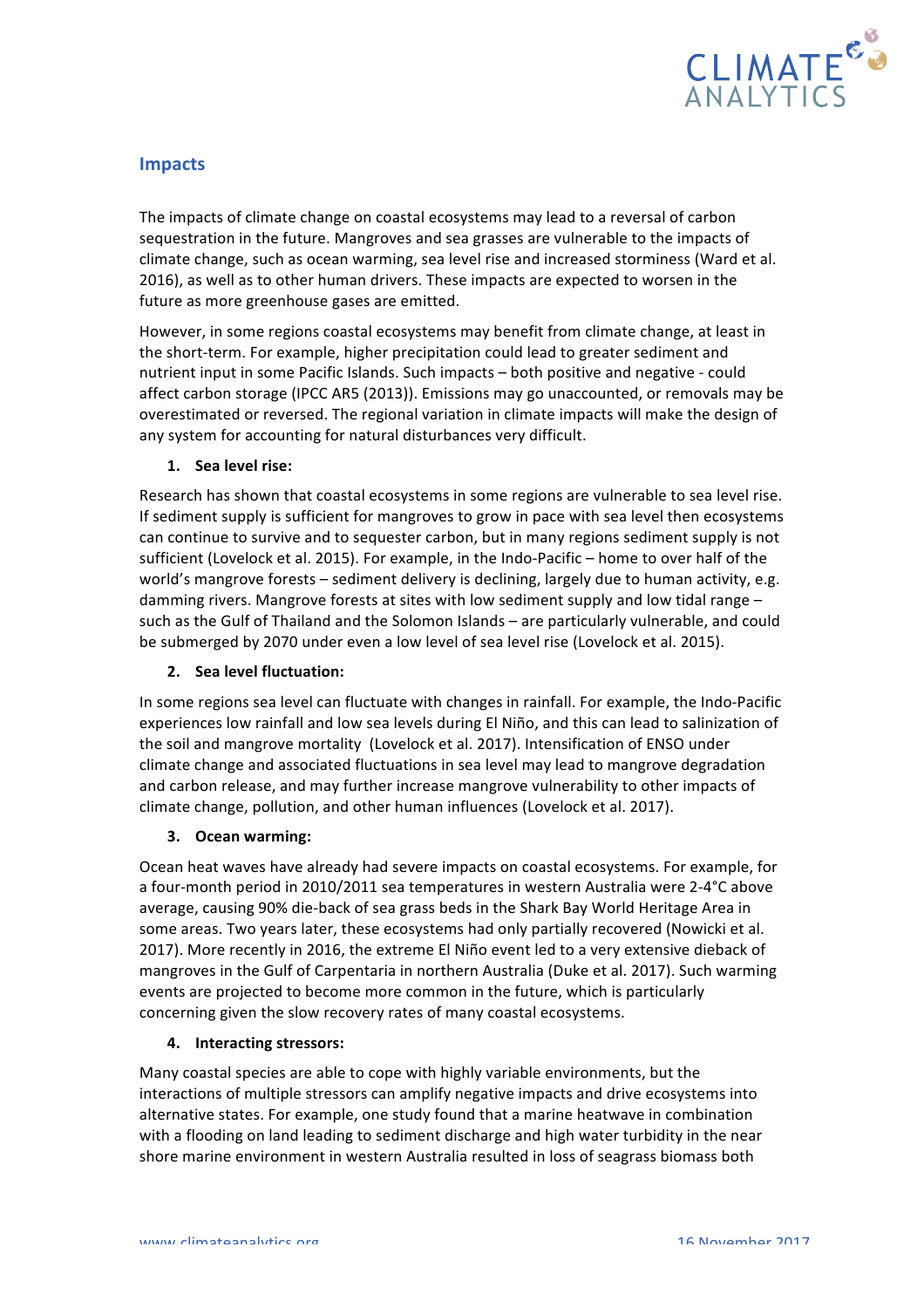

## **Impacts**

The impacts of climate change on coastal ecosystems may lead to a reversal of carbon sequestration in the future. Mangroves and sea grasses are vulnerable to the impacts of climate change, such as ocean warming, sea level rise and increased storminess (Ward et al. 2016), as well as to other human drivers. These impacts are expected to worsen in the future as more greenhouse gases are emitted.

However, in some regions coastal ecosystems may benefit from climate change, at least in the short-term. For example, higher precipitation could lead to greater sediment and nutrient input in some Pacific Islands. Such impacts - both positive and negative - could affect carbon storage (IPCC AR5 (2013)). Emissions may go unaccounted, or removals may be overestimated or reversed. The regional variation in climate impacts will make the design of any system for accounting for natural disturbances very difficult.

## **1. Sea level rise:**

Research has shown that coastal ecosystems in some regions are vulnerable to sea level rise. If sediment supply is sufficient for mangroves to grow in pace with sea level then ecosystems can continue to survive and to sequester carbon, but in many regions sediment supply is not sufficient (Lovelock et al. 2015). For example, in the Indo-Pacific – home to over half of the world's mangrove forests – sediment delivery is declining, largely due to human activity, e.g. damming rivers. Mangrove forests at sites with low sediment supply and low tidal range such as the Gulf of Thailand and the Solomon Islands – are particularly vulnerable, and could be submerged by 2070 under even a low level of sea level rise (Lovelock et al. 2015).

## **2. Sea level fluctuation:**

In some regions sea level can fluctuate with changes in rainfall. For example, the Indo-Pacific experiences low rainfall and low sea levels during El Niño, and this can lead to salinization of the soil and mangrove mortality (Lovelock et al. 2017). Intensification of ENSO under climate change and associated fluctuations in sea level may lead to mangrove degradation and carbon release, and may further increase mangrove vulnerability to other impacts of climate change, pollution, and other human influences (Lovelock et al. 2017).

## **3. Ocean warming:**

Ocean heat waves have already had severe impacts on coastal ecosystems. For example, for a four-month period in 2010/2011 sea temperatures in western Australia were 2-4°C above average, causing 90% die-back of sea grass beds in the Shark Bay World Heritage Area in some areas. Two years later, these ecosystems had only partially recovered (Nowicki et al. 2017). More recently in 2016, the extreme El Niño event led to a very extensive dieback of mangroves in the Gulf of Carpentaria in northern Australia (Duke et al. 2017). Such warming events are projected to become more common in the future, which is particularly concerning given the slow recovery rates of many coastal ecosystems.

## **4. Interacting stressors:**

Many coastal species are able to cope with highly variable environments, but the interactions of multiple stressors can amplify negative impacts and drive ecosystems into alternative states. For example, one study found that a marine heatwave in combination with a flooding on land leading to sediment discharge and high water turbidity in the near shore marine environment in western Australia resulted in loss of seagrass biomass both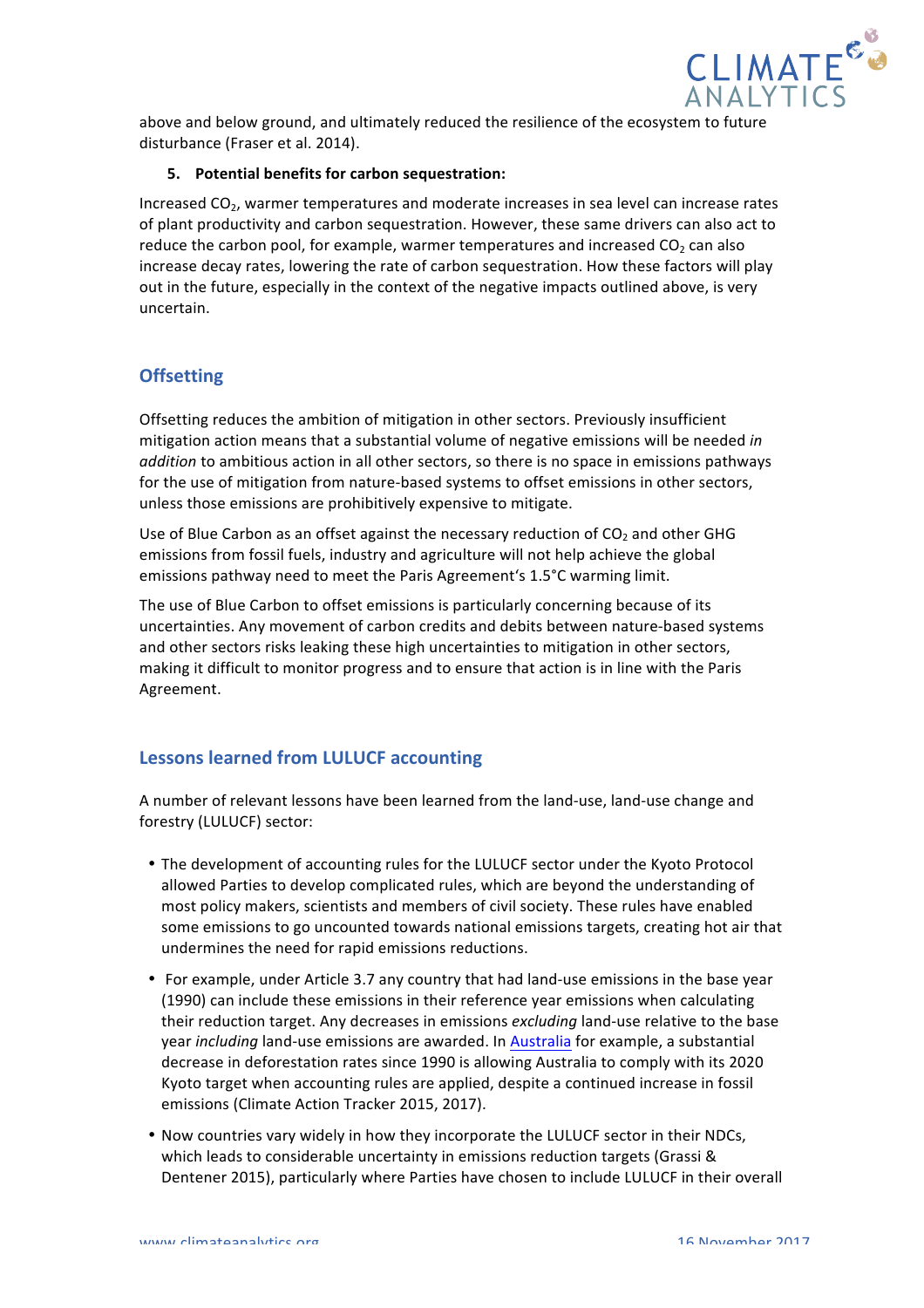

above and below ground, and ultimately reduced the resilience of the ecosystem to future disturbance (Fraser et al. 2014).

## **5.** Potential benefits for carbon sequestration:

Increased CO<sub>2</sub>, warmer temperatures and moderate increases in sea level can increase rates of plant productivity and carbon sequestration. However, these same drivers can also act to reduce the carbon pool, for example, warmer temperatures and increased CO<sub>2</sub> can also increase decay rates, lowering the rate of carbon sequestration. How these factors will play out in the future, especially in the context of the negative impacts outlined above, is very uncertain.

## **Offsetting**

Offsetting reduces the ambition of mitigation in other sectors. Previously insufficient mitigation action means that a substantial volume of negative emissions will be needed in *addition* to ambitious action in all other sectors, so there is no space in emissions pathways for the use of mitigation from nature-based systems to offset emissions in other sectors, unless those emissions are prohibitively expensive to mitigate.

Use of Blue Carbon as an offset against the necessary reduction of  $CO<sub>2</sub>$  and other GHG emissions from fossil fuels, industry and agriculture will not help achieve the global emissions pathway need to meet the Paris Agreement's 1.5°C warming limit.

The use of Blue Carbon to offset emissions is particularly concerning because of its uncertainties. Any movement of carbon credits and debits between nature-based systems and other sectors risks leaking these high uncertainties to mitigation in other sectors, making it difficult to monitor progress and to ensure that action is in line with the Paris Agreement.

## **Lessons learned from LULUCF accounting**

A number of relevant lessons have been learned from the land-use, land-use change and forestry (LULUCF) sector:

- The development of accounting rules for the LULUCF sector under the Kyoto Protocol allowed Parties to develop complicated rules, which are beyond the understanding of most policy makers, scientists and members of civil society. These rules have enabled some emissions to go uncounted towards national emissions targets, creating hot air that undermines the need for rapid emissions reductions.
- For example, under Article 3.7 any country that had land-use emissions in the base year (1990) can include these emissions in their reference year emissions when calculating their reduction target. Any decreases in emissions *excluding* land-use relative to the base year *including* land-use emissions are awarded. In Australia for example, a substantial decrease in deforestation rates since 1990 is allowing Australia to comply with its 2020 Kyoto target when accounting rules are applied, despite a continued increase in fossil emissions (Climate Action Tracker 2015, 2017).
- Now countries vary widely in how they incorporate the LULUCF sector in their NDCs, which leads to considerable uncertainty in emissions reduction targets (Grassi & Dentener 2015), particularly where Parties have chosen to include LULUCF in their overall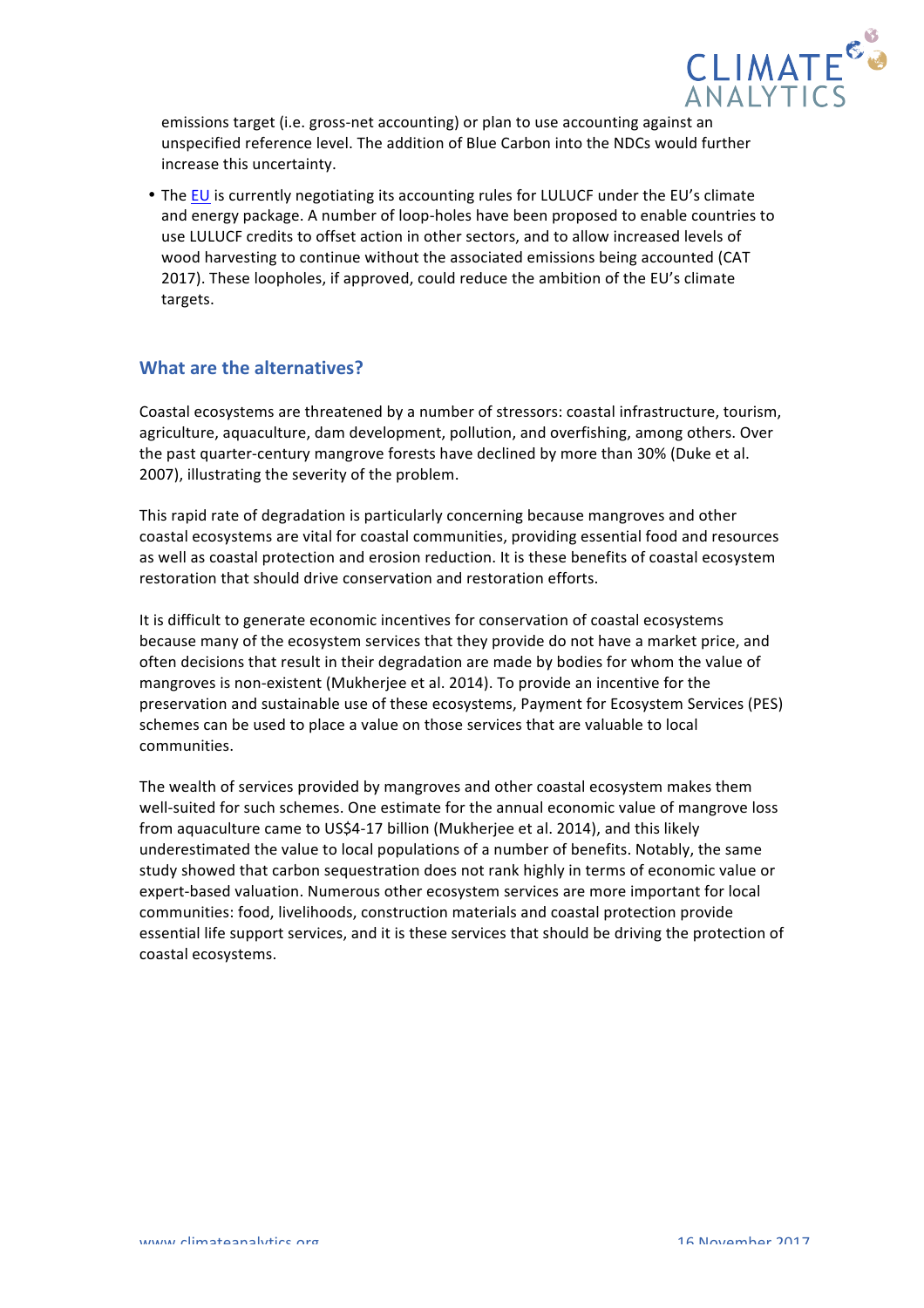

emissions target (i.e. gross-net accounting) or plan to use accounting against an unspecified reference level. The addition of Blue Carbon into the NDCs would further increase this uncertainty.

• The EU is currently negotiating its accounting rules for LULUCF under the EU's climate and energy package. A number of loop-holes have been proposed to enable countries to use LULUCF credits to offset action in other sectors, and to allow increased levels of wood harvesting to continue without the associated emissions being accounted (CAT 2017). These loopholes, if approved, could reduce the ambition of the EU's climate targets.

## **What are the alternatives?**

Coastal ecosystems are threatened by a number of stressors: coastal infrastructure, tourism, agriculture, aquaculture, dam development, pollution, and overfishing, among others. Over the past quarter-century mangrove forests have declined by more than 30% (Duke et al. 2007), illustrating the severity of the problem.

This rapid rate of degradation is particularly concerning because mangroves and other coastal ecosystems are vital for coastal communities, providing essential food and resources as well as coastal protection and erosion reduction. It is these benefits of coastal ecosystem restoration that should drive conservation and restoration efforts.

It is difficult to generate economic incentives for conservation of coastal ecosystems because many of the ecosystem services that they provide do not have a market price, and often decisions that result in their degradation are made by bodies for whom the value of mangroves is non-existent (Mukherjee et al. 2014). To provide an incentive for the preservation and sustainable use of these ecosystems, Payment for Ecosystem Services (PES) schemes can be used to place a value on those services that are valuable to local communities. 

The wealth of services provided by mangroves and other coastal ecosystem makes them well-suited for such schemes. One estimate for the annual economic value of mangrove loss from aquaculture came to US\$4-17 billion (Mukherjee et al. 2014), and this likely underestimated the value to local populations of a number of benefits. Notably, the same study showed that carbon sequestration does not rank highly in terms of economic value or expert-based valuation. Numerous other ecosystem services are more important for local communities: food, livelihoods, construction materials and coastal protection provide essential life support services, and it is these services that should be driving the protection of coastal ecosystems.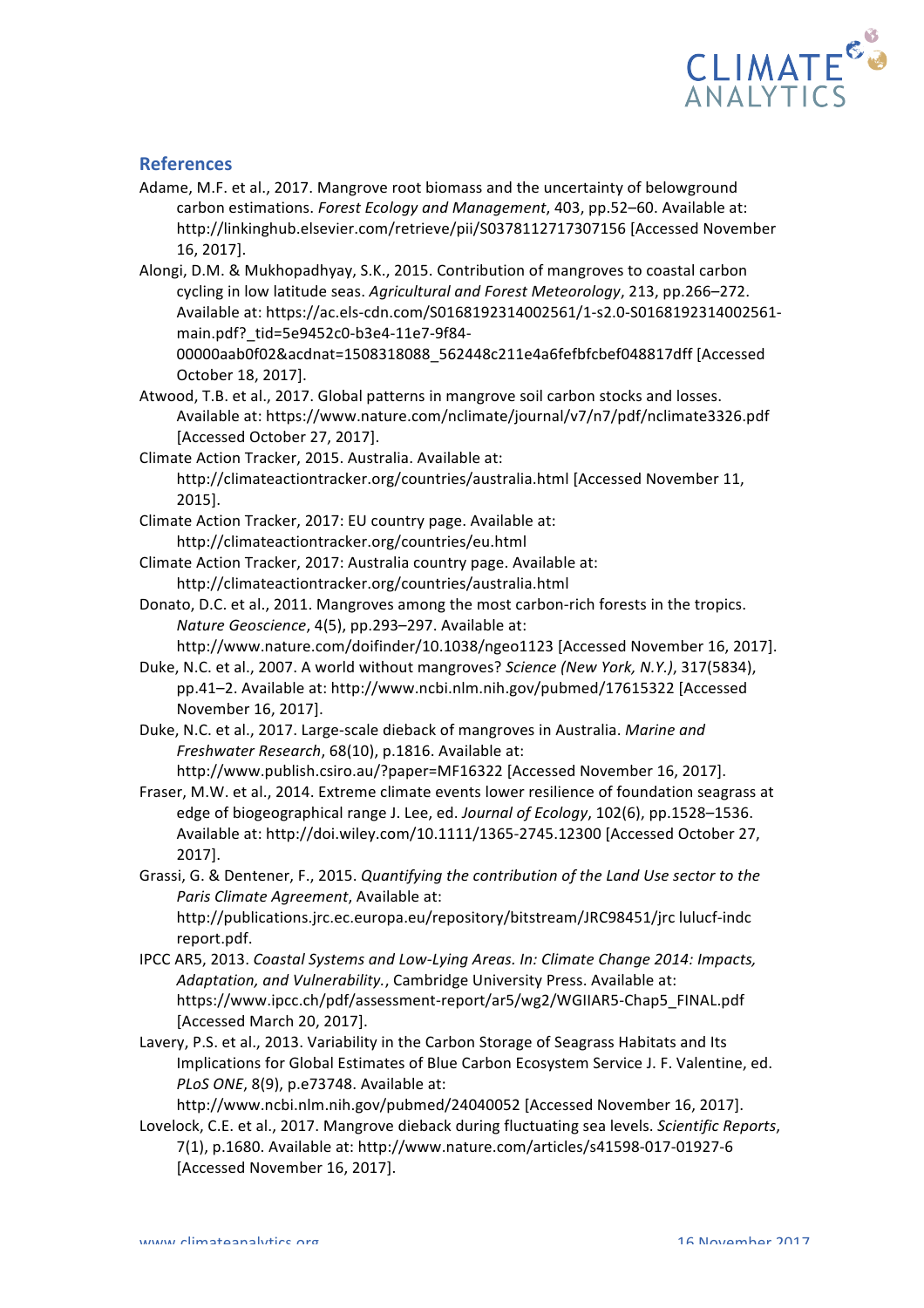

## **References**

- Adame, M.F. et al., 2017. Mangrove root biomass and the uncertainty of belowground carbon estimations. *Forest Ecology and Management*, 403, pp.52–60. Available at: http://linkinghub.elsevier.com/retrieve/pii/S0378112717307156 [Accessed November 16, 2017].
- Alongi, D.M. & Mukhopadhyay, S.K., 2015. Contribution of mangroves to coastal carbon cycling in low latitude seas. Agricultural and Forest Meteorology, 213, pp.266–272. Available at: https://ac.els-cdn.com/S0168192314002561/1-s2.0-S0168192314002561main.pdf?\_tid=5e9452c0-b3e4-11e7-9f84-

00000aab0f02&acdnat=1508318088\_562448c211e4a6fefbfcbef048817dff [Accessed October 18, 2017].

Atwood, T.B. et al., 2017. Global patterns in mangrove soil carbon stocks and losses. Available at: https://www.nature.com/nclimate/journal/v7/n7/pdf/nclimate3326.pdf [Accessed October 27, 2017].

Climate Action Tracker, 2015. Australia. Available at: http://climateactiontracker.org/countries/australia.html [Accessed November 11, 2015].

- Climate Action Tracker, 2017: EU country page. Available at: http://climateactiontracker.org/countries/eu.html
- Climate Action Tracker, 2017: Australia country page. Available at: http://climateactiontracker.org/countries/australia.html
- Donato, D.C. et al., 2011. Mangroves among the most carbon-rich forests in the tropics. *Nature Geoscience,* 4(5), pp.293-297. Available at:

http://www.nature.com/doifinder/10.1038/ngeo1123 [Accessed November 16, 2017]. Duke, N.C. et al., 2007. A world without mangroves? *Science (New York, N.Y.)*, 317(5834),

pp.41-2. Available at: http://www.ncbi.nlm.nih.gov/pubmed/17615322 [Accessed November 16, 2017].

Duke, N.C. et al., 2017. Large-scale dieback of mangroves in Australia. Marine and *Freshwater Research,* 68(10), p.1816. Available at: http://www.publish.csiro.au/?paper=MF16322 [Accessed November 16, 2017].

Fraser, M.W. et al., 2014. Extreme climate events lower resilience of foundation seagrass at edge of biogeographical range J. Lee, ed. Journal of Ecology, 102(6), pp.1528-1536. Available at: http://doi.wiley.com/10.1111/1365-2745.12300 [Accessed October 27, 2017].

Grassi, G. & Dentener, F., 2015. *Quantifying the contribution of the Land Use sector to the Paris Climate Agreement*, Available at: http://publications.jrc.ec.europa.eu/repository/bitstream/JRC98451/jrc lulucf-indc

report.pdf. IPCC AR5, 2013. *Coastal Systems and Low-Lying Areas. In: Climate Change 2014: Impacts,* Adaptation, and Vulnerability., Cambridge University Press. Available at:

https://www.ipcc.ch/pdf/assessment-report/ar5/wg2/WGIIAR5-Chap5\_FINAL.pdf [Accessed March 20, 2017].

Lavery, P.S. et al., 2013. Variability in the Carbon Storage of Seagrass Habitats and Its Implications for Global Estimates of Blue Carbon Ecosystem Service J. F. Valentine, ed. *PLoS ONE*, 8(9), p.e73748. Available at:

http://www.ncbi.nlm.nih.gov/pubmed/24040052 [Accessed November 16, 2017].

Lovelock, C.E. et al., 2017. Mangrove dieback during fluctuating sea levels. *Scientific Reports*, 7(1), p.1680. Available at: http://www.nature.com/articles/s41598-017-01927-6 [Accessed November 16, 2017].